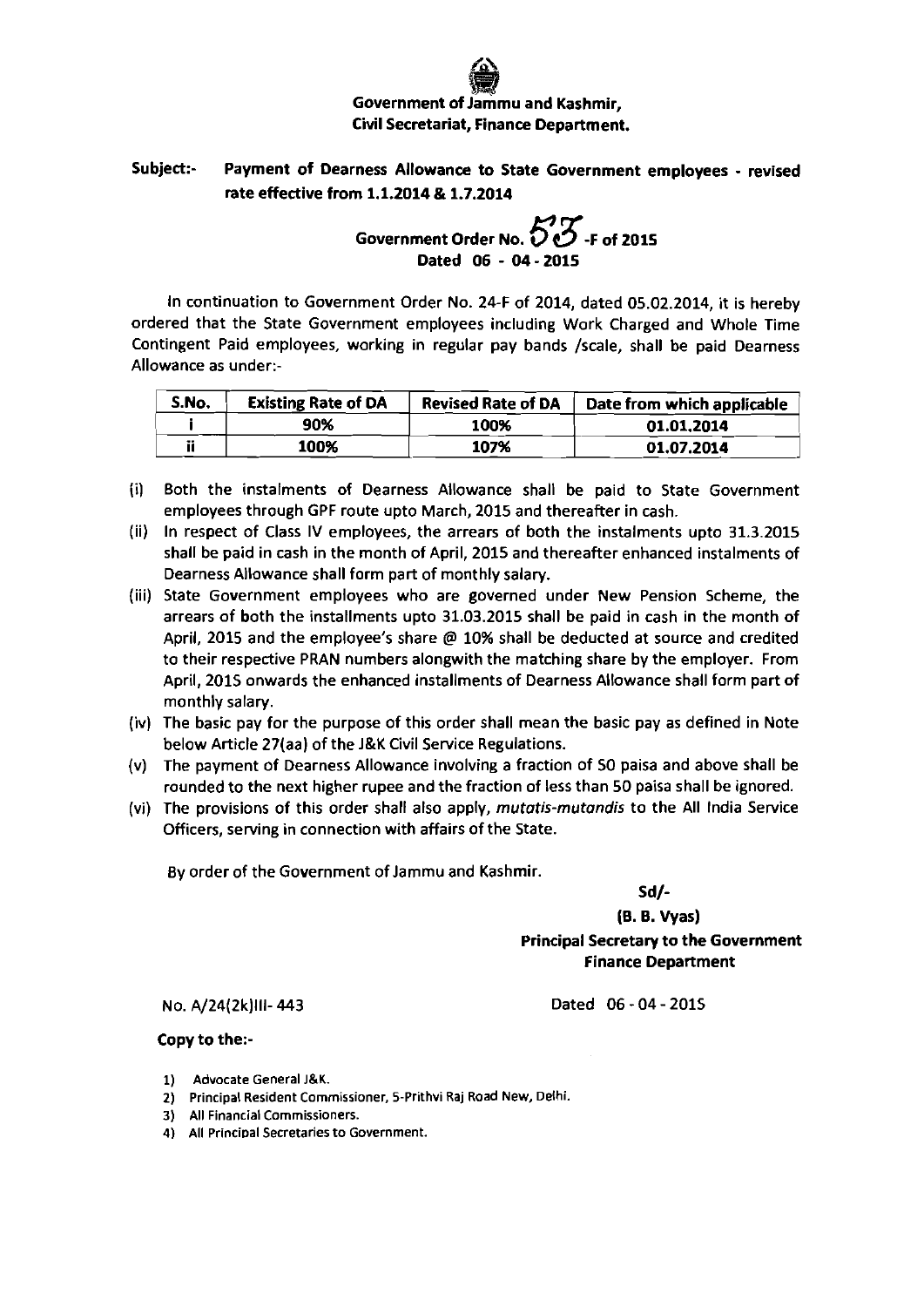## **Government of Jammu and Kashmir,**<br>Government of Jammu and Kashmir, Civil Secretariat, Finance Department.

## Subject:- Payment of Dearness Allowance to State Government employees - revised ate effective from **1.1.2014** & **1.7.2014**

## Government Order No.  $55$ <sub>-F</sub> of 2015 Dated **06** - **04** - **2015**

In continuation to Government Order No. 24-F of 2014, dated 05.02.2014, it is hereby ordered that the State Government employees including Work Charged and Whole Time Contingent Paid employees, working in regular pay bands /scale, shall be paid Dearness Allowance as under:-

| S.No. | <b>Existing Rate of DA</b> | <b>Revised Rate of DA</b> | Date from which applicable |
|-------|----------------------------|---------------------------|----------------------------|
|       | 90%                        | 100%                      | 01.01.2014                 |
|       | 100%                       | 107%                      | 01.07.2014                 |

- **(i)** Both the instalments of Dearness Allowance shall be paid to State Government employees through GPF route upto March, 2015 and thereafter in cash.
- (ii) In respect of Class IV employees, the arrears of both the instalments upto 31.3.2015 shall be paid in cash in the month of April, 2015 and thereafter enhanced instalments of Dearness Allowance shall form part of monthly salary.
- (iii) State Government employees who are governed under New Pension Scheme, the arrears of both the installments upto 31.03.2015 shall be paid in cash in the month of April, 2015 and the employee's share @ 10% shall be deducted at source and credited to their respective PRAN numbers alongwith the matching share by the employer. From April, 2015 onwards the enhanced installments of Dearness Allowance shall form part of monthly salary.
- (iv) The basic pay for the purpose of this order shall mean the basic pay as defined in Note below Article 27(aa) of the **J&K** Civil Sewice Regulations.
- (v) The payment of Dearness Allowance involving a fraction of SO paisa and above shall be rounded to the next higher rupee and the fraction of less than SO paisa shall be ignored.
- (vi) The provisions of this order shall also apply, mutatis-mutandis to the All India Service Officers, sewing in connection with affairs of the State.

By order of the Government of Jammu and Kashmir.

Sd/-

**[B. 6.** Vyas) Principal Secretary to the Government Finance Department

No. A/24(2k)III-443

Dated 06 - 04 - 2015

Copy to the:-

- 1) Advocate General **J&K.**
- 2) Principal Resident Commissioner, 5-Prithvi Raj Road New, Oelhi.
- 3) All Financial Commissioners.
- 4) All Principal Secretaries to Government.